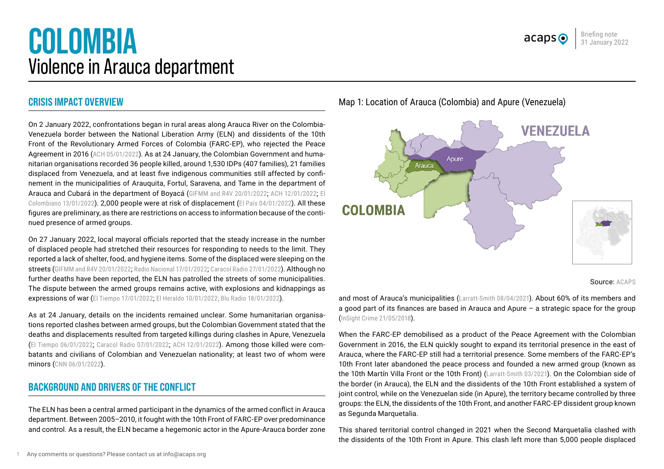# **COLOMBIA** Violence in Arauca department

# **CRISIS IMPACT OVERVIEW**

On 2 January 2022, confrontations began in rural areas along Arauca River on the Colombia-Venezuela border between the National Liberation Army (ELN) and dissidents of the 10th Front of the Revolutionary Armed Forces of Colombia (FARC-EP), who rejected the Peace Agreement in 2016 ([ACH 05/01/2022](https://reliefweb.int/sites/reliefweb.int/files/resources/sitrep1_arauca_05ene22_.pdf)). As at 24 January, the Colombian Government and humanitarian organisations recorded 36 people killed, around 1,530 IDPs (407 families), 21 families displaced from Venezuela, and at least five indigenous communities still affected by confinement in the municipalities of Arauquita, Fortul, Saravena, and Tame in the department of Arauca and Cubará in the department of Boyacá ([GIFMM and R4V 20/01/2022](https://reliefweb.int/sites/reliefweb.int/files/resources/200122_flash_update_desplazamiento_y_poblacion_con_necesidad_de_proteccion_internacional_arauca_vf_1.pdf); [ACH 12/01/2022](https://www.humanitarianresponse.info/en/operations/colombia/document/colombia-enfrentamientos-en-arauca-12012022); [El](https://www.elcolombiano.com/colombia/crisis-en-arauca-continua-la-defensoria-ya-cuenta-33-asesinatos-DB16352357) [Colombiano 13/01/2022](https://www.elcolombiano.com/colombia/crisis-en-arauca-continua-la-defensoria-ya-cuenta-33-asesinatos-DB16352357)). 2,000 people were at risk of displacement ([El País 04/01/2022](https://elpais.com/internacional/2022-01-03/combates-entre-grupos-armados-en-la-frontera-de-colombia-con-venezuela-dejan-una-veintena-de-muertos.html)). All these figures are preliminary, as there are restrictions on access to information because of the continued presence of armed groups.

On 27 January 2022, local mayoral officials reported that the steady increase in the number of displaced people had stretched their resources for responding to needs to the limit. They reported a lack of shelter, food, and hygiene items. Some of the displaced were sleeping on the streets ([GIFMM and R4V 20/01/2022](https://reliefweb.int/sites/reliefweb.int/files/resources/200122_flash_update_desplazamiento_y_poblacion_con_necesidad_de_proteccion_internacional_arauca_vf_1.pdf); [Radio Nacional 17/01/2022](https://www.radionacional.co/actualidad/arauca-aumento-desplazados-enfrentamientos-eln-disidencias); [Caracol Radio 27/01/2022](https://caracol.com.co/emisora/2022/01/28/bucaramanga/1643325612_716486.html)). Although no further deaths have been reported, the ELN has patrolled the streets of some municipalities. The dispute between the armed groups remains active, with explosions and kidnappings as expressions of war ([El Tiempo 17/01/2022](https://www.eltiempo.com/justicia/conflicto-y-narcotrafico/arauca-durante-visita-de-ivan-duque-eln-habria-patrullado-las-calles-645293); [El Heraldo 10/01/2022](https://www.elheraldo.co/colombia/atacan-con-explosivos-empresa-de-acueducto-de-saravena-arauca-878801); [Blu Radio 18/01/2022](https://www.bluradio.com/secuestrada-reconocida-comerciante-en-arauca)).

As at 24 January, details on the incidents remained unclear. Some humanitarian organisations reported clashes between armed groups, but the Colombian Government stated that the deaths and displacements resulted from targeted killings during clashes in Apure, Venezuela ([El Tiempo 06/01/2022](https://www.eltiempo.com/justicia/conflicto-y-narcotrafico/arauca-fiscalia-dio-detalles-de-investigacion-tras-masacre-de-27-personas-643308); [Caracol Radio 07/01/2022](https://caracol.com.co/radio/2022/01/07/judicial/1641581814_652181.html); [ACH 12/01/2022](https://www.humanitarianresponse.info/en/operations/colombia/document/colombia-enfrentamientos-en-arauca-12012022)). Among those killed were combatants and civilians of Colombian and Venezuelan nationality; at least two of whom were minors ([CNN 06/01/2022](https://cnnespanol.cnn.com/2022/01/06/arauca-colombia-cuerpos-enfrentamientos-orix/)).

# **BACKGROUND AND DRIVERS OF THE CONFLICT**

The ELN has been a central armed participant in the dynamics of the armed conflict in Arauca department. Between 2005–2010, it fought with the 10th Front of FARC-EP over predominance and control. As a result, the ELN became a hegemonic actor in the Apure-Arauca border zone

Map 1: Location of Arauca (Colombia) and Apure (Venezuela)



Source: ACAPS

Briefing note 31 January 2022

 $acaps<sub>o</sub>$ 

and most of Arauca's municipalities ([Larratt-Smith 08/04/2021](https://viva.org.co/cajavirtual/svc0729/pdfs/Por_que_es_tan_dificil_negociar_con_el_ELN.pdf)). About 60% of its members and a good part of its finances are based in Arauca and Apure – a strategic space for the group ([InSight Crime 21/05/2018](https://insightcrime.org/investigations/colombia-venezuela-criminal-siamese-twins/)).

When the FARC-EP demobilised as a product of the Peace Agreement with the Colombian Government in 2016, the ELN quickly sought to expand its territorial presence in the east of Arauca, where the FARC-EP still had a territorial presence. Some members of the FARC-EP's 10th Front later abandoned the peace process and founded a new armed group (known as the 10th Martín Villa Front or the 10th Front) ([Larratt-Smith 03/2021](https://viva.org.co/cajavirtual/svc0729/pdfs/Por_que_es_tan_dificil_negociar_con_el_ELN.pdf)). On the Colombian side of the border (in Arauca), the ELN and the dissidents of the 10th Front established a system of joint control, while on the Venezuelan side (in Apure), the territory became controlled by three groups: the ELN, the dissidents of the 10th Front, and another FARC-EP dissident group known as Segunda Marquetalia.

This shared territorial control changed in 2021 when the Second Marquetalia clashed with the dissidents of the 10th Front in Apure. This clash left more than 5,000 people displaced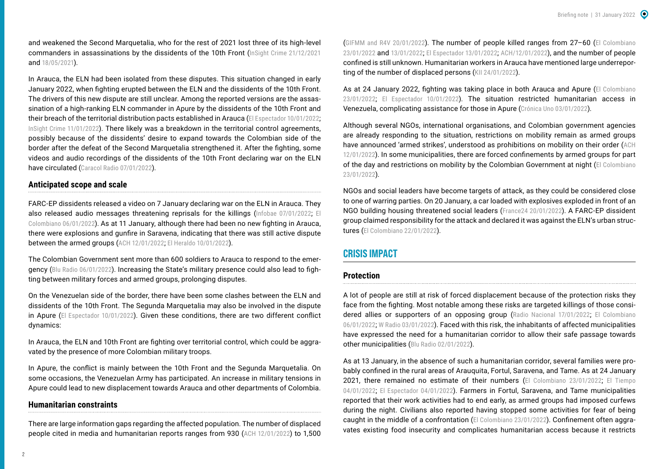and weakened the Second Marquetalia, who for the rest of 2021 lost three of its high-level commanders in assassinations by the dissidents of the 10th Front ([InSight Crime 21/12/2021](https://insightcrime.org/news/second-marquetalia-uncertain-future/) and [18/05/2021](https://insightcrime.org/colombia-organized-crime-news/segunda-marquetalia/)).

In Arauca, the ELN had been isolated from these disputes. This situation changed in early January 2022, when fighting erupted between the ELN and the dissidents of the 10th Front. The drivers of this new dispute are still unclear. Among the reported versions are the assassination of a high-ranking ELN commander in Apure by the dissidents of the 10th Front and their breach of the territorial distribution pacts established in Arauca ([El Espectador 10/01/2022](https://www.elespectador.com/investigacion/la-radiografia-de-una-guerra-reciclada-entre-el-eln-y-las-disidencias-de-las-farc/?utm_source=interno&utm_medium=boton&utm_campaign=share_notas&utm_content=boton_twitter_share_notas); [InSight Crime 11/01/2022](https://insightcrime.org/news/is-the-ex-farc-mafia-betting-all-its-chips-on-the-colombian-venezuelan-border/)). There likely was a breakdown in the territorial control agreements. possibly because of the dissidents' desire to expand towards the Colombian side of the border after the defeat of the Second Marquetalia strengthened it. After the fighting, some videos and audio recordings of the dissidents of the 10th Front declaring war on the ELN have circulated ([Caracol Radio 07/01/2022](https://caracol.com.co/radio/2022/01/07/judicial/1641513519_693981.html)).

#### **Anticipated scope and scale**

FARC-EP dissidents released a video on 7 January declaring war on the ELN in Arauca. They also released audio messages threatening reprisals for the killings ([Infobae 07/01/2022](https://www.infobae.com/america/colombia/2022/01/07/video-disidencias-de-la-farc-declaran-la-guerra-al-eln-y-bandas-criminales-en-arauca/); El [Colombiano 06/01/2022](https://www.elcolombiano.com/colombia/audios-que-asustan-en-arauca-por-guerra-entre-eln-y-disidencias-farc-venezuela-GC16270143)). As at 11 January, although there had been no new fighting in Arauca, there were explosions and gunfire in Saravena, indicating that there was still active dispute between the armed groups ([ACH 12/01/2022](https://www.humanitarianresponse.info/en/operations/colombia/document/colombia-enfrentamientos-en-arauca-12012022); [El Heraldo 10/01/2022](https://www.elheraldo.co/colombia/atacan-con-explosivos-empresa-de-acueducto-de-saravena-arauca-878801)).

The Colombian Government sent more than 600 soldiers to Arauca to respond to the emergency ([Blu Radio 06/01/2022](https://www.bluradio.com/nacion/mas-de-600-soldados-reforzaran-la-seguridad-en-arauca-azotada-por-choques-entre-disidencias-y-eln)). Increasing the State's military presence could also lead to fighting between military forces and armed groups, prolonging disputes.

On the Venezuelan side of the border, there have been some clashes between the ELN and dissidents of the 10th Front. The Segunda Marquetalia may also be involved in the dispute in Apure ([El Espectador 10/01/2022](https://www.elespectador.com/mundo/america/de-detenciones-arbitrarias-a-asesinatos-selectivos-asi-cambia-la-guerra-en-apure/)). Given these conditions, there are two different conflict dynamics:

In Arauca, the ELN and 10th Front are fighting over territorial control, which could be aggravated by the presence of more Colombian military troops.

In Apure, the conflict is mainly between the 10th Front and the Segunda Marquetalia. On some occasions, the Venezuelan Army has participated. An increase in military tensions in Apure could lead to new displacement towards Arauca and other departments of Colombia.

#### **Humanitarian constraints**

There are large information gaps regarding the affected population. The number of displaced people cited in media and humanitarian reports ranges from 930 ([ACH 12/01/2022](https://www.humanitarianresponse.info/en/operations/colombia/document/colombia-enfrentamientos-en-arauca-12012022)) to 1,500

([GIFMM and R4V 20/01/2022](https://reliefweb.int/sites/reliefweb.int/files/resources/200122_flash_update_desplazamiento_y_poblacion_con_necesidad_de_proteccion_internacional_arauca_vf_1.pdf)). The number of people killed ranges from 27–60 ([El Colombiano](https://www.elcolombiano.com/colombia/guerra-entre-el-eln-y-las-disidencias-de-las-farc-en-arauca-MD16408859)  [23/01/2022](https://www.elcolombiano.com/colombia/guerra-entre-el-eln-y-las-disidencias-de-las-farc-en-arauca-MD16408859) and [13/01/2022](https://www.elcolombiano.com/colombia/crisis-en-arauca-continua-la-defensoria-ya-cuenta-33-asesinatos-DB16352357); [El Espectador 13/01/2022](https://www.elespectador.com/colombia/mas-regiones/violencia-en-arauca-esta-afectando-a-norte-de-santander-defensoria/); [ACH/12/01/2022](https://www.humanitarianresponse.info/en/operations/colombia/document/colombia-enfrentamientos-en-arauca-12012022)), and the number of people confined is still unknown. Humanitarian workers in Arauca have mentioned large underreporting of the number of displaced persons (KII 24/01/2022).

As at 24 January 2022, fighting was taking place in both Arauca and Apure (El Colombiano [23/01/2022](https://www.elcolombiano.com/colombia/guerra-entre-el-eln-y-las-disidencias-de-las-farc-en-arauca-MD16408859); [El Espectador 10/01/2022](https://www.elespectador.com/mundo/america/de-detenciones-arbitrarias-a-asesinatos-selectivos-asi-cambia-la-guerra-en-apure/)). The situation restricted humanitarian access in Venezuela, complicating assistance for those in Apure ([Crónica Uno 03/01/2022](https://cronica.uno/enfrentamientos-entre-guerrilleros-colombianos-comenzo-en-apure/)).

Although several NGOs, international organisations, and Colombian government agencies are already responding to the situation, restrictions on mobility remain as armed groups have announced 'armed strikes', understood as prohibitions on mobility on their order ([ACH](https://www.humanitarianresponse.info/en/operations/colombia/document/colombia-enfrentamientos-en-arauca-12012022)  [12/01/2022](https://www.humanitarianresponse.info/en/operations/colombia/document/colombia-enfrentamientos-en-arauca-12012022)). In some municipalities, there are forced confinements by armed groups for part of the day and restrictions on mobility by the Colombian Government at night ([El Colombiano](https://www.elcolombiano.com/colombia/guerra-entre-el-eln-y-las-disidencias-de-las-farc-en-arauca-MD16408859)  [23/01/2022](https://www.elcolombiano.com/colombia/guerra-entre-el-eln-y-las-disidencias-de-las-farc-en-arauca-MD16408859)).

NGOs and social leaders have become targets of attack, as they could be considered close to one of warring parties. On 20 January, a car loaded with explosives exploded in front of an NGO building housing threatened social leaders ([France24 20/01/2022](https://www.france24.com/es/minuto-a-minuto/20220120-un-muerto-y-varios-heridos-deja-carro-bomba-en-frontera-entre-colombia-y-venezuela)). A FARC-EP dissident group claimed responsibility for the attack and declared it was against the ELN's urban structures ([El Colombiano 22/01/2022](https://www.elcolombiano.com/colombia/paz-y-derechos-humanos/carrobomba-de-arauca-fue-detonado-por-disidencias-de-farc-PD16405749)).

## **CRISIS IMPACT**

#### **Protection**

A lot of people are still at risk of forced displacement because of the protection risks they face from the fighting. Most notable among these risks are targeted killings of those consi-dered allies or supporters of an opposing group ([Radio Nacional 17/01/2022](https://www.radionacional.co/actualidad/arauca-aumento-desplazados-enfrentamientos-eln-disidencias); El Colombiano [06/01/2022](https://www.elcolombiano.com/colombia/audios-que-asustan-en-arauca-por-guerra-entre-eln-y-disidencias-farc-venezuela-GC16270143); [W Radio 03/01/2022](https://www.wradio.com.co/2022/01/03/hay-24-asesinados-en-los-primeros-dias-del-ano-mas-de-3000-desplazados-personero-de-tame-arauca/)). Faced with this risk, the inhabitants of affected municipalities have expressed the need for a humanitarian corridor to allow their safe passage towards other municipalities ([Blu Radio 02/01/2022](https://www.bluradio.com/nacion/arauca-inicia-2022-con-jornada-violenta-en-tres-municipios-poblacion-pide-corredor-humanitario)).

As at 13 January, in the absence of such a humanitarian corridor, several families were probably confined in the rural areas of Arauquita, Fortul, Saravena, and Tame. As at 24 January 2021, there remained no estimate of their numbers ([El Colombiano 23/01/2022](https://www.elcolombiano.com/colombia/guerra-entre-el-eln-y-las-disidencias-de-las-farc-en-arauca-MD16408859); [El Tiempo](https://www.eltiempo.com/colombia/otras-ciudades/arauca-guerra-entre-disidencias-de-las-farc-y-eln-dejan-23-muertos-642823)  [04/01/2022](https://www.eltiempo.com/colombia/otras-ciudades/arauca-guerra-entre-disidencias-de-las-farc-y-eln-dejan-23-muertos-642823); [El Espectador 04/01/2022](https://www.elespectador.com/judicial/hubo-23-homicidios-y-52-familias-desplazadas-defensoria-sobre-crisis-en-arauca/)). Farmers in Fortul, Saravena, and Tame municipalities reported that their work activities had to end early, as armed groups had imposed curfews during the night. Civilians also reported having stopped some activities for fear of being caught in the middle of a confrontation ([El Colombiano 23/01/2022](https://www.elcolombiano.com/colombia/guerra-entre-el-eln-y-las-disidencias-de-las-farc-en-arauca-MD16408859)). Confinement often aggravates existing food insecurity and complicates humanitarian access because it restricts